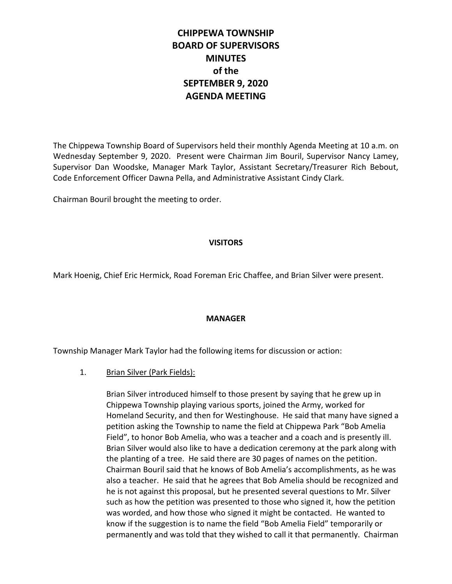# **CHIPPEWA TOWNSHIP BOARD OF SUPERVISORS MINUTES of the SEPTEMBER 9, 2020 AGENDA MEETING**

The Chippewa Township Board of Supervisors held their monthly Agenda Meeting at 10 a.m. on Wednesday September 9, 2020. Present were Chairman Jim Bouril, Supervisor Nancy Lamey, Supervisor Dan Woodske, Manager Mark Taylor, Assistant Secretary/Treasurer Rich Bebout, Code Enforcement Officer Dawna Pella, and Administrative Assistant Cindy Clark.

Chairman Bouril brought the meeting to order.

#### **VISITORS**

Mark Hoenig, Chief Eric Hermick, Road Foreman Eric Chaffee, and Brian Silver were present.

## **MANAGER**

Township Manager Mark Taylor had the following items for discussion or action:

## 1. Brian Silver (Park Fields):

Brian Silver introduced himself to those present by saying that he grew up in Chippewa Township playing various sports, joined the Army, worked for Homeland Security, and then for Westinghouse. He said that many have signed a petition asking the Township to name the field at Chippewa Park "Bob Amelia Field", to honor Bob Amelia, who was a teacher and a coach and is presently ill. Brian Silver would also like to have a dedication ceremony at the park along with the planting of a tree. He said there are 30 pages of names on the petition. Chairman Bouril said that he knows of Bob Amelia's accomplishments, as he was also a teacher. He said that he agrees that Bob Amelia should be recognized and he is not against this proposal, but he presented several questions to Mr. Silver such as how the petition was presented to those who signed it, how the petition was worded, and how those who signed it might be contacted. He wanted to know if the suggestion is to name the field "Bob Amelia Field" temporarily or permanently and was told that they wished to call it that permanently. Chairman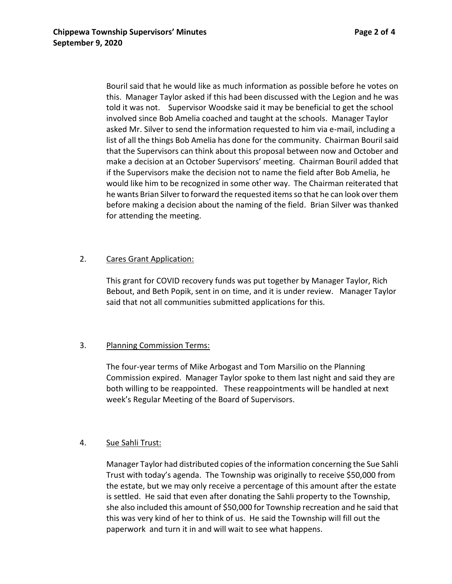Bouril said that he would like as much information as possible before he votes on this. Manager Taylor asked if this had been discussed with the Legion and he was told it was not. Supervisor Woodske said it may be beneficial to get the school involved since Bob Amelia coached and taught at the schools. Manager Taylor asked Mr. Silver to send the information requested to him via e-mail, including a list of all the things Bob Amelia has done for the community. Chairman Bouril said that the Supervisors can think about this proposal between now and October and make a decision at an October Supervisors' meeting. Chairman Bouril added that if the Supervisors make the decision not to name the field after Bob Amelia, he would like him to be recognized in some other way. The Chairman reiterated that he wants Brian Silver to forward the requested items so that he can look over them before making a decision about the naming of the field. Brian Silver was thanked for attending the meeting.

## 2. Cares Grant Application:

This grant for COVID recovery funds was put together by Manager Taylor, Rich Bebout, and Beth Popik, sent in on time, and it is under review. Manager Taylor said that not all communities submitted applications for this.

## 3. Planning Commission Terms:

The four-year terms of Mike Arbogast and Tom Marsilio on the Planning Commission expired. Manager Taylor spoke to them last night and said they are both willing to be reappointed. These reappointments will be handled at next week's Regular Meeting of the Board of Supervisors.

# 4. Sue Sahli Trust:

Manager Taylor had distributed copies of the information concerning the Sue Sahli Trust with today's agenda. The Township was originally to receive \$50,000 from the estate, but we may only receive a percentage of this amount after the estate is settled. He said that even after donating the Sahli property to the Township, she also included this amount of \$50,000 for Township recreation and he said that this was very kind of her to think of us. He said the Township will fill out the paperwork and turn it in and will wait to see what happens.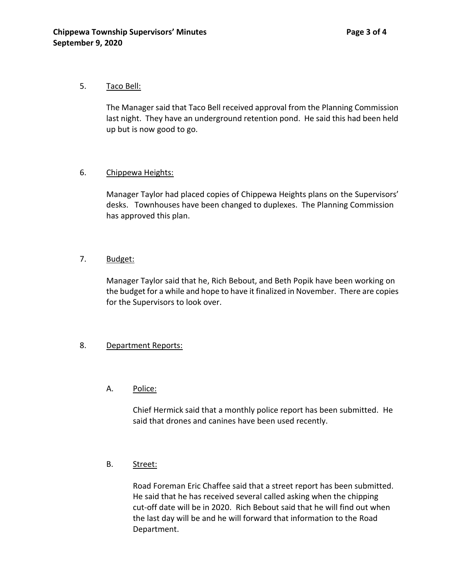#### 5. Taco Bell:

The Manager said that Taco Bell received approval from the Planning Commission last night. They have an underground retention pond. He said this had been held up but is now good to go.

## 6. Chippewa Heights:

Manager Taylor had placed copies of Chippewa Heights plans on the Supervisors' desks. Townhouses have been changed to duplexes. The Planning Commission has approved this plan.

## 7. Budget:

Manager Taylor said that he, Rich Bebout, and Beth Popik have been working on the budget for a while and hope to have it finalized in November. There are copies for the Supervisors to look over.

## 8. Department Reports:

## A. Police:

Chief Hermick said that a monthly police report has been submitted. He said that drones and canines have been used recently.

## B. Street:

Road Foreman Eric Chaffee said that a street report has been submitted. He said that he has received several called asking when the chipping cut-off date will be in 2020. Rich Bebout said that he will find out when the last day will be and he will forward that information to the Road Department.